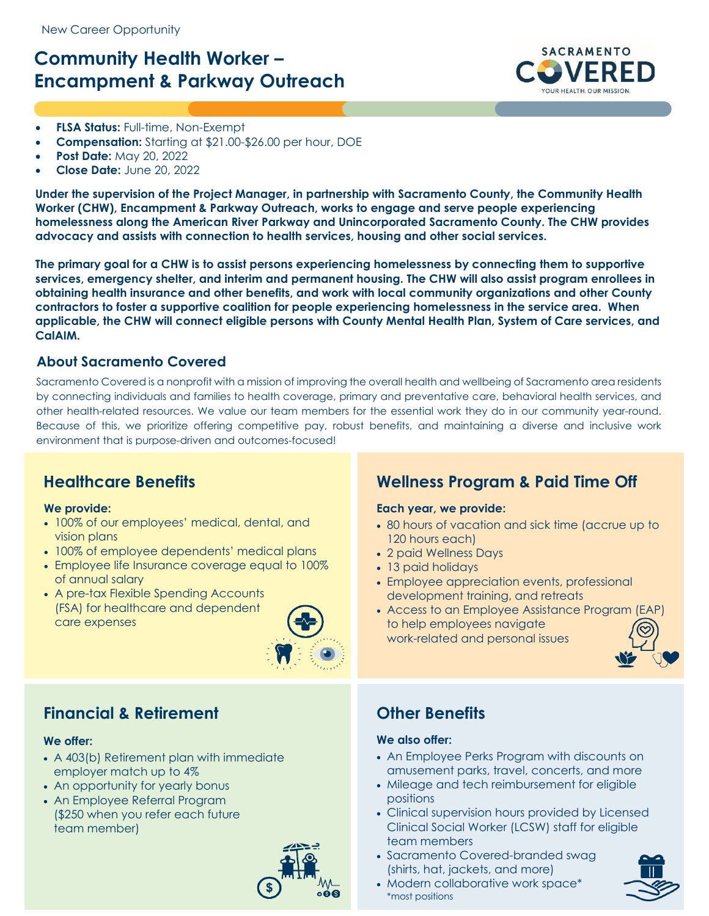# **Community Health Worker – Encampment & Parkway Outreach**



- **FLSA Status:** Full-time, Non-Exempt
- **Compensation:** Starting at \$21.00-\$26.00 per hour, DOE
- **Post Date:** May 20, 2022
- **Close Date:** June 20, 2022

**Under the supervision of the Project Manager, in partnership with Sacramento County, the Community Health Worker (CHW), Encampment & Parkway Outreach, works to engage and serve people experiencing homelessness along the American River Parkway and Unincorporated Sacramento County. The CHW provides advocacy and assists with connection to health services, housing and other social services.** 

**The primary goal for a CHW is to assist persons experiencing homelessness by connecting them to supportive services, emergency shelter, and interim and permanent housing. The CHW will also assist program enrollees in obtaining health insurance and other benefits, and work with local community organizations and other County contractors to foster a supportive coalition for people experiencing homelessness in the service area. When applicable, the CHW will connect eligible persons with County Mental Health Plan, System of Care services, and CalAIM.** 

### **About Sacramento Covered**

Sacramento Covered is a nonprofit with a mission of improving the overall health and wellbeing of Sacramento area residents by connecting individuals and families to health coverage, primary and preventative care, behavioral health services, and other health-related resources. We value our team members for the essential work they do in our community year-round. Because of this, we prioritize offering competitive pay, robust benefits, and maintaining a diverse and inclusive work environment that is purpose-driven and outcomes-focused!

### **Healthcare Benefits**

### **We provide:**

- 100% of our employees' medical, dental, and vision plans
- 100% of employee dependents' medical plans
- Employee life Insurance coverage equal to 100% of annual salary
- A pre-tax Flexible Spending Accounts (FSA) for healthcare and dependent care expenses



### **Financial & Retirement**

### **We offer:**

- A 403(b) Retirement plan with immediate employer match up to 4%
- An opportunity for yearly bonus
- An Employee Referral Program (\$250 when you refer each future team member)



# **Wellness Program & Paid Time Off**

### **Each year, we provide:**

- 80 hours of vacation and sick time (accrue up to 120 hours each)
- 2 paid Wellness Days
- 13 paid holidays
- Employee appreciation events, professional development training, and retreats
- Access to an Employee Assistance Program (EAP) to help employees navigate work-related and personal issues



### **Other Benefits**

### **We also offer:**

- An Employee Perks Program with discounts on amusement parks, travel, concerts, and more
- Mileage and tech reimbursement for eligible positions
- Clinical supervision hours provided by Licensed Clinical Social Worker (LCSW) staff for eligible team members
- Sacramento Covered-branded swag (shirts, hat, jackets, and more)
- Modern collaborative work space\* \*most positions

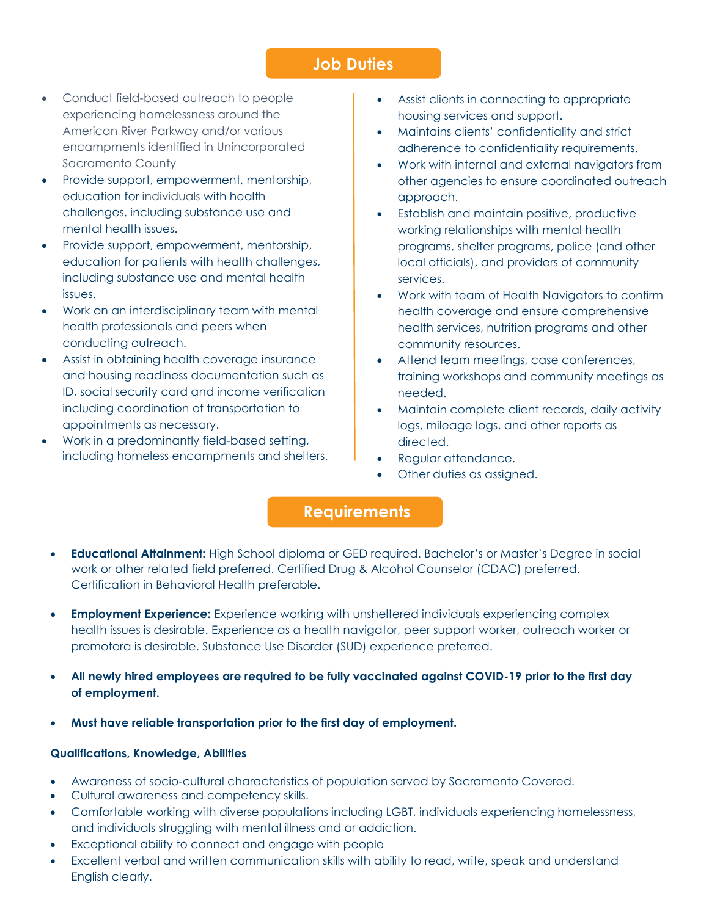### **Job Duties**

- Conduct field-based outreach to people experiencing homelessness around the American River Parkway and/or various encampments identified in Unincorporated Sacramento County
- Provide support, empowerment, mentorship, education for individuals with health challenges, including substance use and mental health issues.
- Provide support, empowerment, mentorship, education for patients with health challenges, including substance use and mental health issues.
- Work on an interdisciplinary team with mental health professionals and peers when conducting outreach.
- Assist in obtaining health coverage insurance and housing readiness documentation such as ID, social security card and income verification including coordination of transportation to appointments as necessary.
- Work in a predominantly field-based setting, including homeless encampments and shelters.
- Assist clients in connecting to appropriate housing services and support.
- Maintains clients' confidentiality and strict adherence to confidentiality requirements.
- Work with internal and external navigators from other agencies to ensure coordinated outreach approach.
- Establish and maintain positive, productive working relationships with mental health programs, shelter programs, police (and other local officials), and providers of community services.
- Work with team of Health Navigators to confirm health coverage and ensure comprehensive health services, nutrition programs and other community resources.
- Attend team meetings, case conferences, training workshops and community meetings as needed.
- Maintain complete client records, daily activity logs, mileage logs, and other reports as directed.
- Regular attendance.
- Other duties as assigned.

## **Requirements**

- **Educational Attainment:** High School diploma or GED required. Bachelor's or Master's Degree in social work or other related field preferred. Certified Drug & Alcohol Counselor (CDAC) preferred. Certification in Behavioral Health preferable.
- **Employment Experience:** Experience working with unsheltered individuals experiencing complex health issues is desirable. Experience as a health navigator, peer support worker, outreach worker or promotora is desirable. Substance Use Disorder (SUD) experience preferred.
- **All newly hired employees are required to be fully vaccinated against COVID-19 prior to the first day of employment.**
- **Must have reliable transportation prior to the first day of employment.**

### **Qualifications, Knowledge, Abilities**

- Awareness of socio-cultural characteristics of population served by Sacramento Covered.
- Cultural awareness and competency skills.
- Comfortable working with diverse populations including LGBT, individuals experiencing homelessness, and individuals struggling with mental illness and or addiction.
- Exceptional ability to connect and engage with people
- Excellent verbal and written communication skills with ability to read, write, speak and understand English clearly.